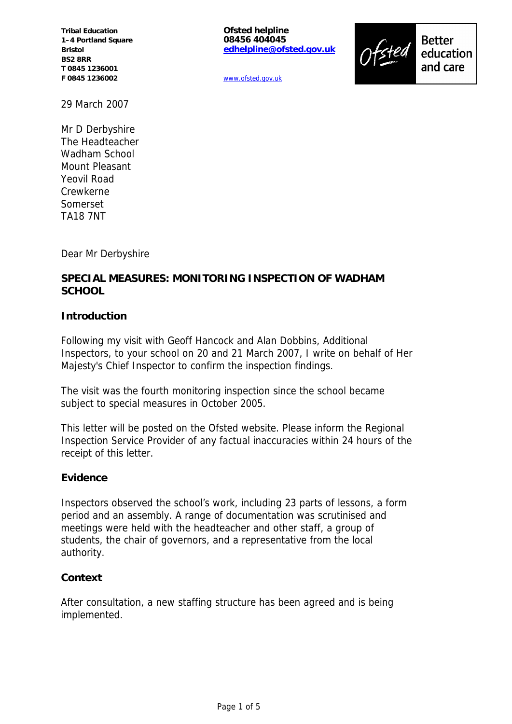**Tribal Education 1–4 Portland Square Bristol BS2 8RR T 0845 1236001 F 0845 1236002**

**Ofsted helpline 08456 404045 edhelpline@ofsted.gov.uk**



www.ofsted.gov.uk

29 March 2007

Mr D Derbyshire The Headteacher Wadham School Mount Pleasant Yeovil Road Crewkerne Somerset TA18 7NT

Dear Mr Derbyshire

## **SPECIAL MEASURES: MONITORING INSPECTION OF WADHAM SCHOOL**

#### **Introduction**

Following my visit with Geoff Hancock and Alan Dobbins, Additional Inspectors, to your school on 20 and 21 March 2007, I write on behalf of Her Majesty's Chief Inspector to confirm the inspection findings.

The visit was the fourth monitoring inspection since the school became subject to special measures in October 2005.

This letter will be posted on the Ofsted website. Please inform the Regional Inspection Service Provider of any factual inaccuracies within 24 hours of the receipt of this letter.

#### **Evidence**

Inspectors observed the school's work, including 23 parts of lessons, a form period and an assembly. A range of documentation was scrutinised and meetings were held with the headteacher and other staff, a group of students, the chair of governors, and a representative from the local authority.

#### **Context**

After consultation, a new staffing structure has been agreed and is being implemented.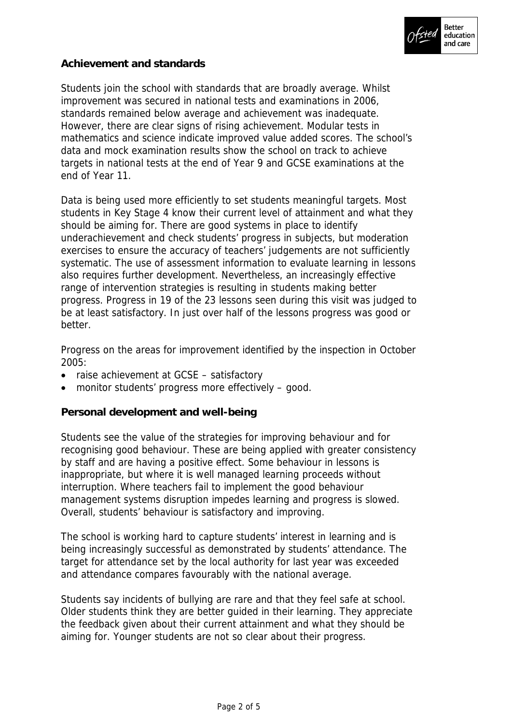

## **Achievement and standards**

Students join the school with standards that are broadly average. Whilst improvement was secured in national tests and examinations in 2006, standards remained below average and achievement was inadequate. However, there are clear signs of rising achievement. Modular tests in mathematics and science indicate improved value added scores. The school's data and mock examination results show the school on track to achieve targets in national tests at the end of Year 9 and GCSE examinations at the end of Year 11.

Data is being used more efficiently to set students meaningful targets. Most students in Key Stage 4 know their current level of attainment and what they should be aiming for. There are good systems in place to identify underachievement and check students' progress in subjects, but moderation exercises to ensure the accuracy of teachers' judgements are not sufficiently systematic. The use of assessment information to evaluate learning in lessons also requires further development. Nevertheless, an increasingly effective range of intervention strategies is resulting in students making better progress. Progress in 19 of the 23 lessons seen during this visit was judged to be at least satisfactory. In just over half of the lessons progress was good or better.

Progress on the areas for improvement identified by the inspection in October 2005:

- raise achievement at GCSE satisfactory
- monitor students' progress more effectively good.

**Personal development and well-being**

Students see the value of the strategies for improving behaviour and for recognising good behaviour. These are being applied with greater consistency by staff and are having a positive effect. Some behaviour in lessons is inappropriate, but where it is well managed learning proceeds without interruption. Where teachers fail to implement the good behaviour management systems disruption impedes learning and progress is slowed. Overall, students' behaviour is satisfactory and improving.

The school is working hard to capture students' interest in learning and is being increasingly successful as demonstrated by students' attendance. The target for attendance set by the local authority for last year was exceeded and attendance compares favourably with the national average.

Students say incidents of bullying are rare and that they feel safe at school. Older students think they are better guided in their learning. They appreciate the feedback given about their current attainment and what they should be aiming for. Younger students are not so clear about their progress.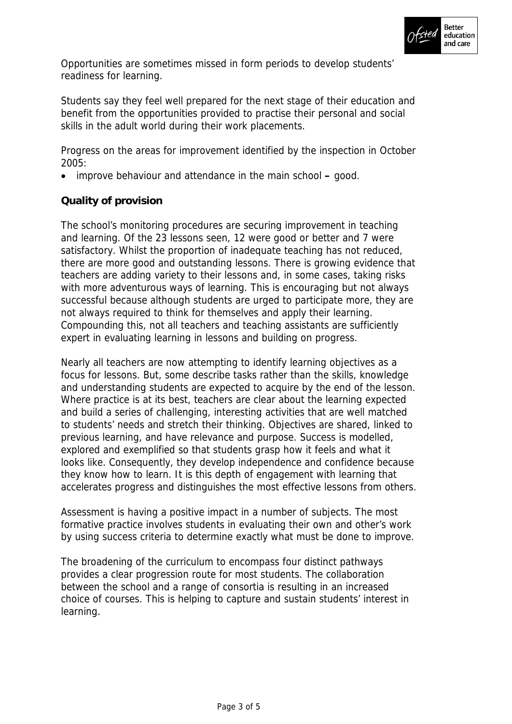

Opportunities are sometimes missed in form periods to develop students' readiness for learning.

Students say they feel well prepared for the next stage of their education and benefit from the opportunities provided to practise their personal and social skills in the adult world during their work placements.

Progress on the areas for improvement identified by the inspection in October 2005:

improve behaviour and attendance in the main school **–** good.

# **Quality of provision**

The school's monitoring procedures are securing improvement in teaching and learning. Of the 23 lessons seen, 12 were good or better and 7 were satisfactory. Whilst the proportion of inadequate teaching has not reduced, there are more good and outstanding lessons. There is growing evidence that teachers are adding variety to their lessons and, in some cases, taking risks with more adventurous ways of learning. This is encouraging but not always successful because although students are urged to participate more, they are not always required to think for themselves and apply their learning. Compounding this, not all teachers and teaching assistants are sufficiently expert in evaluating learning in lessons and building on progress.

Nearly all teachers are now attempting to identify learning objectives as a focus for lessons. But, some describe tasks rather than the skills, knowledge and understanding students are expected to acquire by the end of the lesson. Where practice is at its best, teachers are clear about the learning expected and build a series of challenging, interesting activities that are well matched to students' needs and stretch their thinking. Objectives are shared, linked to previous learning, and have relevance and purpose. Success is modelled, explored and exemplified so that students grasp how it feels and what it looks like. Consequently, they develop independence and confidence because they know how to learn. It is this depth of engagement with learning that accelerates progress and distinguishes the most effective lessons from others.

Assessment is having a positive impact in a number of subjects. The most formative practice involves students in evaluating their own and other's work by using success criteria to determine exactly what must be done to improve.

The broadening of the curriculum to encompass four distinct pathways provides a clear progression route for most students. The collaboration between the school and a range of consortia is resulting in an increased choice of courses. This is helping to capture and sustain students' interest in learning.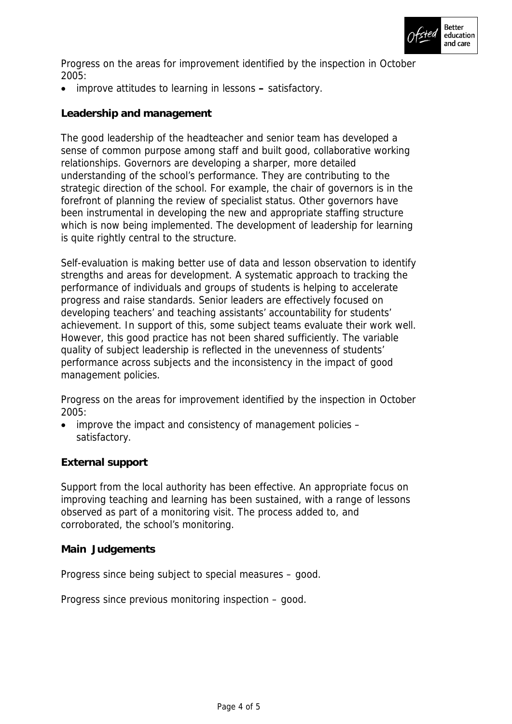

Progress on the areas for improvement identified by the inspection in October 2005:

improve attitudes to learning in lessons **–** satisfactory.

**Leadership and management**

The good leadership of the headteacher and senior team has developed a sense of common purpose among staff and built good, collaborative working relationships. Governors are developing a sharper, more detailed understanding of the school's performance. They are contributing to the strategic direction of the school. For example, the chair of governors is in the forefront of planning the review of specialist status. Other governors have been instrumental in developing the new and appropriate staffing structure which is now being implemented. The development of leadership for learning is quite rightly central to the structure.

Self-evaluation is making better use of data and lesson observation to identify strengths and areas for development. A systematic approach to tracking the performance of individuals and groups of students is helping to accelerate progress and raise standards. Senior leaders are effectively focused on developing teachers' and teaching assistants' accountability for students' achievement. In support of this, some subject teams evaluate their work well. However, this good practice has not been shared sufficiently. The variable quality of subject leadership is reflected in the unevenness of students' performance across subjects and the inconsistency in the impact of good management policies.

Progress on the areas for improvement identified by the inspection in October 2005:

 improve the impact and consistency of management policies – satisfactory.

**External support**

Support from the local authority has been effective. An appropriate focus on improving teaching and learning has been sustained, with a range of lessons observed as part of a monitoring visit. The process added to, and corroborated, the school's monitoring.

### **Main Judgements**

Progress since being subject to special measures – good.

Progress since previous monitoring inspection – good.